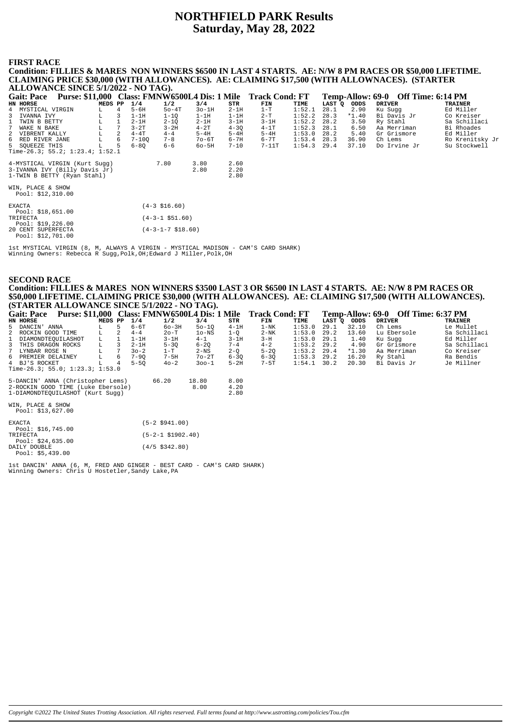## **NORTHFIELD PARK Results Saturday, May 28, 2022**

#### **FIRST RACE**

**Condition: FILLIES & MARES NON WINNERS \$6500 IN LAST 4 STARTS. AE: N/W 8 PM RACES OR \$50,000 LIFETIME. CLAIMING PRICE \$30,000 (WITH ALLOWANCES). AE: CLAIMING \$17,500 (WITH ALLOWNACES). (STARTER ALLOWANCE SINCE 5/1/2022 - NO TAG). Gait: Pace Purse: \$11,000 Class: FMNW6500L4 Dis: 1 Mile Track Cond: FT Temp-Allow: 69-0 Off Time: 6:14 PM**<br> **EXEL BORSE** MEDS PP 1/4 1/2 3/4 STR FIM TIME LAST Q ODDS DRIVER TRAINER<br>
4 MYSTICAL VIRGIN L 4 5-6H 50-4T 30-1H **H. FT Temp-Allow: 69-0 Off Time: 6:14 PM**<br> **HORSE DRIVER**<br> **HORSE DRIVER**<br> **HORSE TRAINER**<br> **HORSE DRIVER**<br> **HORSE TRAINER**<br> **HORSE DRIVER**<br> **Ed Miller** 4 MYSTICAL VIRGIN L 4 5-6H 5o-4T 3o-1H 2-1H 1-T 1:52.1 28.1 2.90 Ku Sugg Ed Miller<br>4 MYSTICAL VIRGIN L 4 5-6H 5o-4T 3o-1H 2-1H 1-T 1:52.1 28.1 2.90 Ku Sugg Ed Miller<br>1 TWANA IVY L 3 1-1H 1-1Q 1-1H 2-1D 2-1H 3-1H 152.2 28.3 3 IVANNA IVY L 3 1-1H 1-1Q 1-1H 1-1H 2-T 1:52.2 28.3 \*1.40 Bi Davis Jr Co Kreiser 1 TWIN B BETTY L 1 2-1H 2-1Q 2-1H 3-1H 3-1H 1:52.2 28.2 3.50 Ry Stahl Sa Schillaci 7 WAKE N BAKE L 7 3-2T 3-2H 4-2T 4-3Q 4-1T 1:52.3 28.1 6.50 Aa Merriman Bi Rhoades 2 VIBRENT KALLY L 2 4-4T 4-4 5-4H 5-4H 5-4H 1:53.0 28.2 5.40 Gr Grismore Ed Miller 6 RED RIVER JANE L 6 7-10Q 7-8 7o-6T 6-7H 6-7T 1:53.4 28.3 36.90 Ch Lems Ro Krenitsky Jr 5 SQUEEZE THIS L 5 6-8Q 6-6 6o-5H 7-10 7-11T 1:54.3 29.4 37.10 Do Irvine Jr Su Stockwell Time-26.3; 55.2; 1:23.4; 1:52.1 4-MYSTICAL VIRGIN (Kurt Sugg) <br>3-IVANNA IVY (Billy Davis Jr) <br>1-TWIN B BETTY (Ryan Stahl) <br>2.80 2.80 3-IVANNA IVY (Billy Davis Jr) 2.80 2.20 1-TWIN B BETTY (Ryan Stahl) 2.80 WIN, PLACE & SHOW Pool: \$12,310.00 EXACTA (4-3 \$16.60) Pool: \$18,651.00<br>TRIFECTA TRIFECTA (4-3-1 \$51.60) Pool: \$19,226.00 20 CENT SUPERFECTA (4-3-1-7 \$18.60) Pool: \$12,701.00

1st MYSTICAL VIRGIN (8, M, ALWAYS A VIRGIN - MYSTICAL MADISON - CAM'S CARD SHARK) Winning Owners: Rebecca R Sugg,Polk,OH;Edward J Miller,Polk,OH

#### **SECOND RACE Condition: FILLIES & MARES NON WINNERS \$3500 LAST 3 OR \$6500 IN LAST 4 STARTS. AE: N/W 8 PM RACES OR \$50,000 LIFETIME. CLAIMING PRICE \$30,000 (WITH ALLOWANCES). AE: CLAIMING \$17,500 (WITH ALLOWANCES). (STARTER ALLOWANCE SINCE 5/1/2022 - NO TAG).**

| Purse: \$11,000 Class: FMNW6500L4 Dis: 1 Mile Track Cond: FT<br><b>Gait: Pace</b> |         |   |          |                      |             |          |          |        |      |             | Temp-Allow: 69-0 Off Time: 6:37 PM |                |
|-----------------------------------------------------------------------------------|---------|---|----------|----------------------|-------------|----------|----------|--------|------|-------------|------------------------------------|----------------|
| HN HORSE                                                                          | MEDS PP |   | 1/4      | 1/2                  | 3/4         | STR      | FIN      | TIME   |      | LAST Q ODDS | <b>DRIVER</b>                      | <b>TRAINER</b> |
| 5 DANCIN' ANNA                                                                    |         | 5 | $6-6T$   | $60 - 3H$            | $50 - 10$   | $4-1H$   | $1-NK$   | 1:53.0 | 29.1 | 32.10       | Ch Lems                            | Le Mullet      |
| 2 ROCKIN GOOD TIME                                                                | L.      |   | $4 - 4$  | $2o-T$               | $1o$ – $NS$ | $1 - O$  | $2-NK$   | 1:53.0 | 29.2 | 13.60       | Lu Ebersole                        | Sa Schillaci   |
| 1 DIAMONDTEOUILASHOT                                                              | L       |   | $1-1H$   | $3-1H$               | $4 - 1$     | $3-1H$   | $3-H$    | 1:53.0 | 29.1 | 1.40        | Ku Sugg                            | Ed Miller      |
| $\overline{3}$<br>THIS DRAGON ROCKS                                               | L       | 3 | $2-1H$   | $5 - 30$             | $6 - 20$    | $7 - 4$  | $4 - 2$  | 1:53.2 | 29.2 | 4.90        | Gr Grismore                        | Sa Schillaci   |
| $7^{\circ}$<br>LYNBAR ROSE N                                                      | L       |   | $30 - 2$ | $1-T$                | 2-NS        | $2-Q$    | $5-2Q$   | 1:53.2 | 29.4 | $*1.30$     | Aa Merriman                        | Co Kreiser     |
| 6 PREMIER DELAINEY                                                                |         | 6 | $7 - 90$ | $7-5H$               | $7o-2T$     | $6 - 30$ | $6 - 30$ | 1:53.3 | 29.2 | 16.20       | Ry Stahl                           | Ra Bendis      |
| 4 BJ'S ROCKET                                                                     |         | 4 | $5 - 50$ | $40 - 2$             | $300-1$     | $5-2H$   | $7-5T$   | 1:54.1 | 30.2 | 20.30       | Bi Davis Jr                        | Je Millner     |
| Time-26.3; 55.0; 1:23.3; 1:53.0                                                   |         |   |          |                      |             |          |          |        |      |             |                                    |                |
| 5-DANCIN' ANNA (Christopher Lems)                                                 |         |   |          | 66.20                | 18.80       | 8.00     |          |        |      |             |                                    |                |
| 2-ROCKIN GOOD TIME (Luke Ebersole)                                                |         |   |          |                      | 8.00        | 4.20     |          |        |      |             |                                    |                |
| 1-DIAMONDTEQUILASHOT (Kurt Sugg)                                                  |         |   |          |                      |             | 2.80     |          |        |      |             |                                    |                |
| WIN, PLACE & SHOW                                                                 |         |   |          |                      |             |          |          |        |      |             |                                    |                |
| Pool: $$13,627.00$                                                                |         |   |          |                      |             |          |          |        |      |             |                                    |                |
| <b>EXACTA</b>                                                                     |         |   |          | $(5-2 \, $941.00)$   |             |          |          |        |      |             |                                    |                |
| Pool: $$16,745.00$                                                                |         |   |          |                      |             |          |          |        |      |             |                                    |                |
| TRIFECTA                                                                          |         |   |          | $(5-2-1 \ $1902.40)$ |             |          |          |        |      |             |                                    |                |
| Pool: $$24,635.00$                                                                |         |   |          |                      |             |          |          |        |      |             |                                    |                |
| DAILY DOUBLE                                                                      |         |   |          | $(4/5 \; $342.80)$   |             |          |          |        |      |             |                                    |                |
| Pool: \$5.439.00                                                                  |         |   |          |                      |             |          |          |        |      |             |                                    |                |

1st DANCIN' ANNA (6, M, FRED AND GINGER - BEST CARD - CAM'S CARD SHARK) Winning Owners: Chris U Hostetler,Sandy Lake,PA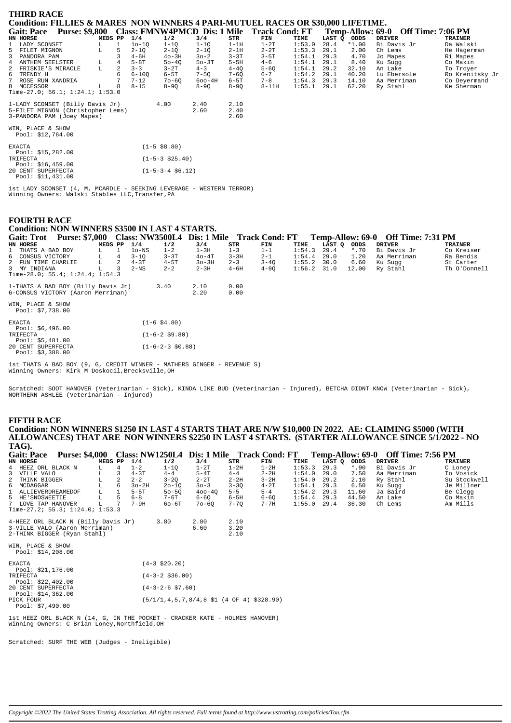| <b>THIRD RACE</b>                                                                |         |   |           |                     |            |          |           |        |        |         |                                    |                 |
|----------------------------------------------------------------------------------|---------|---|-----------|---------------------|------------|----------|-----------|--------|--------|---------|------------------------------------|-----------------|
| Condition: FILLIES & MARES NON WINNERS 4 PARI-MUTUEL RACES OR \$30,000 LIFETIME. |         |   |           |                     |            |          |           |        |        |         |                                    |                 |
| Purse: \$9,800 Class: FMNW4PMCD Dis: 1 Mile Track Cond: FT<br><b>Gait: Pace</b>  |         |   |           |                     |            |          |           |        |        |         | Temp-Allow: 69-0 Off Time: 7:06 PM |                 |
| HN HORSE                                                                         | MEDS PP |   | 1/4       | 1/2                 | 3/4        | STR      | FIN       | TIME   | LAST Q | ODDS    | <b>DRIVER</b>                      | <b>TRAINER</b>  |
| 1 LADY SCONSET                                                                   | L.      |   | $10-1Q$   | $1 - 1Q$            | $1 - 1Q$   | $1-1H$   | $1-2T$    | 1:53.0 | 28.4   | $*1.00$ | Bi Davis Jr                        | Da Walski       |
| 5<br>FILET MIGNON                                                                | г       |   | $2 - 1Q$  | $2 - 1Q$            | $2 - 1Q$   | $2-1H$   | $2 - 2T$  | 1:53.3 | 29.1   | 2.00    | Ch Lems                            | He Hagerman     |
| 3<br>PANDORA PAM                                                                 |         |   | $4 - 6H$  | $40-3H$             | $30 - 2$   | $3 - 3T$ | $3-5T$    | 1:54.1 | 29.3   | 4.70    | Jo Mapes                           | Ri Mapes        |
| ANTHEM SEELSTER                                                                  | L       |   | $5-8T$    | $50 - 40$           | $50-3T$    | $5-5H$   | $4 - 6$   | 1:54.1 | 29.1   | 8.40    | Ku Sugg                            | Co Makin        |
| 2<br>FRISKIE'S MIRACLE                                                           | L       | 2 | $3 - 3$   | $3-2T$              | $4 - 3$    | $4 - 4Q$ | $5 - 60$  | 1:54.1 | 29.2   | 32.10   | An Lake                            | To Troyer       |
| TRENDY H<br>6                                                                    |         |   | $6 - 100$ | $6-5T$              | $7-5Q$     | $7 - 6Q$ | $6 - 7$   | 1:54.2 | 29.1   | 40.20   | Lu Ebersole                        | Ro Krenitsky Jr |
| ROSE RUN XANDRIA                                                                 |         |   | $7 - 12$  | $70 - 60$           | $600 - 4H$ | $6-5T$   | $7 - 8$   | 1:54.3 | 29.3   | 14.10   | Aa Merriman                        | Co Deyermand    |
| 8 MCCESSOR                                                                       | L       | 8 | $8 - 15$  | $8 - 90$            | $8 - 90$   | $8 - 90$ | $8 - 11H$ | 1:55.1 | 29.1   | 62.20   | Ry Stahl                           | Ke Sherman      |
| Time-27.0; 56.1; $1:24.1;$ $1:53.0$                                              |         |   |           |                     |            |          |           |        |        |         |                                    |                 |
| 1-LADY SCONSET (Billy Davis Jr)                                                  |         |   |           | 4.00                | 2.40       | 2.10     |           |        |        |         |                                    |                 |
| 5-FILET MIGNON (Christopher Lems)                                                |         |   |           |                     | 2.60       | 2.40     |           |        |        |         |                                    |                 |
| 3-PANDORA PAM (Joey Mapes)                                                       |         |   |           |                     |            | 2.60     |           |        |        |         |                                    |                 |
| WIN, PLACE & SHOW                                                                |         |   |           |                     |            |          |           |        |        |         |                                    |                 |
| Pool: \$12,764.00                                                                |         |   |           |                     |            |          |           |        |        |         |                                    |                 |
| <b>EXACTA</b>                                                                    |         |   |           | $(1 - 5 \ $8.80)$   |            |          |           |        |        |         |                                    |                 |
| Pool: $$15,282.00$                                                               |         |   |           |                     |            |          |           |        |        |         |                                    |                 |
| TRIFECTA                                                                         |         |   |           | $(1-5-3 \; $25.40)$ |            |          |           |        |        |         |                                    |                 |
| Pool: \$16,459.00                                                                |         |   |           |                     |            |          |           |        |        |         |                                    |                 |
| 20 CENT SUPERFECTA                                                               |         |   |           | $(1-5-3-4 \ $6.12)$ |            |          |           |        |        |         |                                    |                 |
| Pool: \$11,431.00                                                                |         |   |           |                     |            |          |           |        |        |         |                                    |                 |

1st LADY SCONSET (4, M, MCARDLE - SEEKING LEVERAGE - WESTERN TERROR)<br>Winning Owners: Walski Stables LLC,Transfer,PA

## **FOURTH RACE**

#### **Condition: NON WINNERS \$3500 IN LAST 4 STARTS.**

| <b>Gait: Trot</b>                  | <b>Purse: \$7,000</b> |         |     |          |          |          |          | Class: NW3500L4 Dis: 1 Mile Track Cond: FT |               |        |         | Temp-Allow: 69-0 Off Time: 7:31 PM |              |
|------------------------------------|-----------------------|---------|-----|----------|----------|----------|----------|--------------------------------------------|---------------|--------|---------|------------------------------------|--------------|
| HN HORSE                           |                       | MEDS PP |     | 1/4      | 1/2      | 3/4      | STR      | FIN                                        | TIME          | LAST O | ODDS    | DRIVER                             | TRAINER      |
| 1 THATS A BAD BOY                  |                       |         |     | lo-NS    | $1 - 2$  | $1-3H$   | $1 - 3$  | $1 - 1$                                    | 1:54.3        | 29.4   | $*$ .70 | Bi Davis Jr                        | Co Kreiser   |
| 6 CONSUS VICTORY                   |                       | L       | -4  | $3 - 10$ | $3 - 3T$ | $40-4T$  | $3 - 3H$ | $2 - 1$                                    | 1:54.4        | 29.0   | 1.20    | Aa Merriman                        | Ra Bendis    |
| 2 FUN TIME CHARLIE                 |                       |         | -2. | $4 - 3T$ | $4-5T$   | $3o-3H$  | $2 - 3$  | $3 - 40$                                   | $1:55.2$ 30.0 |        | 6.60    | Ku Suqq                            | St Carter    |
| 3 MY INDIANA                       |                       |         | 3   | $2-NS$   | $2 - 2$  | $2 - 3H$ | 4-6H     | $4 - 90$                                   | $1:56.2$ 31.0 |        | 12.00   | Ry Stahl                           | Th O'Donnell |
| Time-28.0; 55.4; 1:24.4; 1:54.3    |                       |         |     |          |          |          |          |                                            |               |        |         |                                    |              |
| 1-THATS A BAD BOY (Billy Davis Jr) |                       |         |     |          | 3.40     | 2.10     | 0.00     |                                            |               |        |         |                                    |              |
| 6-CONSUS VICTORY (Aaron Merriman)  |                       |         |     |          |          | 2.20     | 0.00     |                                            |               |        |         |                                    |              |

WIN, PLACE & SHOW<br>Pool: \$7,738.00

| <b>EXACTA</b> |                    | $(1 - 6 \text{ } $4.80)$ |
|---------------|--------------------|--------------------------|
|               | Pool: $$6,496.00$  |                          |
| TRIFECTA      |                    | $(1-6-2 \text{ }59.80)$  |
|               | Pool: $$5.481.00$  |                          |
|               | 20 CENT SUPERFECTA | $(1-6-2-3 \$0.88)$       |
|               | Pool: \$3,388.00   |                          |

lst THATS A BAD BOY (9, G, CREDIT WINNER - MATHERS GINGER - REVENUE S)<br>Winning Owners: Kirk M Doskocil, Brecksville, OH

Scratched: SOOT HANOVER (Veterinarian - Sick), KINDA LIKE BUD (Veterinarian - Injured), BETCHA DIDNT KNOW (Veterinarian - Sick),<br>NORTHERN ASHLEE (Veterinarian - Injured)

#### **FIFTH RACE**

Condition: NON WINNERS \$1250 IN LAST 4 STARTS THAT ARE N/W \$10,000 IN 2022. AE: CLAIMING \$5000 (WITH ALLOWANCES) THAT ARE NON WINNERS \$2250 IN LAST 4 STARTS. (STARTER ALLOWANCE SINCE 5/1/2022 - NO TAG).

| <b>Gait: Pace</b>                                                           | <b>Purse: \$4,000</b> |         |                | <b>Class: NW1250L4</b> |                            |                                                   |          |          |        |        |         | Dis: 1 Mile Track Cond: FT Temp-Allow: 69-0 Off Time: 7:56 PM |                |
|-----------------------------------------------------------------------------|-----------------------|---------|----------------|------------------------|----------------------------|---------------------------------------------------|----------|----------|--------|--------|---------|---------------------------------------------------------------|----------------|
| HN HORSE                                                                    |                       | MEDS PP |                | 1/4                    | 1/2                        | 3/4                                               | STR      | FIN      | TIME   | LAST Q | ODDS    | <b>DRIVER</b>                                                 | <b>TRAINER</b> |
| 4 HEEZ ORL BLACK N                                                          |                       | L       | $\overline{4}$ | $1 - 2$                | $1-1Q$                     | $1-2T$                                            | $1-2H$   | $1-2H$   | 1:53.3 | 29.3   | $*$ .90 | Bi Davis Jr                                                   | C Loney        |
| 3 VILLE VALO                                                                |                       |         | 3              | $4 - 3T$               | $4 - 4$                    | $5-4T$                                            | $4 - 4$  | $2 - 2H$ | 1:54.0 | 29.0   | 7.50    | Aa Merriman                                                   | To Vosick      |
| $\overline{a}$<br>THINK BIGGER                                              |                       |         |                | $2 - 2$                | $3 - 20$                   | $2 - 2T$                                          | $2 - 2H$ | $3 - 2H$ | 1:54.0 | 29.2   | 2.10    | Ry Stahl                                                      | Su Stockwell   |
| 6 MCDAGGAR                                                                  |                       |         | 6              | $3o-2H$                | $20 - 10$                  | $30 - 3$                                          | $3 - 30$ | $4-2T$   | 1:54.1 | 29.3   | 6.50    | Ku Sugg                                                       | Je Millner     |
| 1 ALLIEVERDREAMEDOF                                                         |                       | г       |                | $5-5T$                 | $50 - 50$                  | $400 - 40$                                        | $5 - 5$  | $5 - 4$  | 1:54.2 | 29.3   | 11.60   | Ja Baird                                                      | Be Clegg       |
| 5 HE'SNOSWEETIE                                                             |                       |         | 5              | $6 - 8$                | 7-6T                       | $6 - 60$                                          | $6-5H$   | $6-6Q$   | 1:54.4 | 29.3   | 44.50   | An Lake                                                       | Co Makin       |
| 7 LOVE TAP HANOVER                                                          |                       |         |                | $7-9H$                 | $60 - 6T$                  | $70 - 60$                                         | $7 - 70$ | $7 - 7H$ | 1:55.0 | 29.4   | 36.30   | Ch Lems                                                       | Am Mills       |
| Time-27.2; 55.3; 1:24.0; 1:53.3                                             |                       |         |                |                        |                            |                                                   |          |          |        |        |         |                                                               |                |
| 4-HEEZ ORL BLACK N (Billy Davis Jr)                                         |                       |         |                |                        | 3.80                       | 2.80                                              | 2.10     |          |        |        |         |                                                               |                |
| 3-VILLE VALO (Aaron Merriman)                                               |                       |         |                |                        |                            | 6.60                                              | 3.20     |          |        |        |         |                                                               |                |
| 2-THINK BIGGER (Ryan Stahl)                                                 |                       |         |                |                        |                            |                                                   | 2.10     |          |        |        |         |                                                               |                |
| WIN, PLACE & SHOW<br>Pool: $$14,208.00$                                     |                       |         |                |                        |                            |                                                   |          |          |        |        |         |                                                               |                |
| <b>EXACTA</b>                                                               |                       |         |                |                        | $(4-3 \; $20.20)$          |                                                   |          |          |        |        |         |                                                               |                |
| Pool: $$21,176.00$<br>TRIFECTA                                              |                       |         |                |                        | $(4-3-2$ \$36.00)          |                                                   |          |          |        |        |         |                                                               |                |
| Pool: $$22,402.00$<br>20 CENT SUPERFECTA                                    |                       |         |                |                        | $(4-3-2-6 \text{ } $7.60)$ |                                                   |          |          |        |        |         |                                                               |                |
| Pool: \$14,362.00                                                           |                       |         |                |                        |                            |                                                   |          |          |        |        |         |                                                               |                |
| PICK FOUR                                                                   |                       |         |                |                        |                            | $(5/1/1, 4, 5, 7, 8/4, 8, 51, (4$ OF 4) \$328.90) |          |          |        |        |         |                                                               |                |
| Pool: $$7,490.00$                                                           |                       |         |                |                        |                            |                                                   |          |          |        |        |         |                                                               |                |
| 1st HEEZ ORL BLACK N (14, G, IN THE POCKET - CRACKER KATE - HOLMES HANOVER) |                       |         |                |                        |                            |                                                   |          |          |        |        |         |                                                               |                |
| Winning Owners: C Brian Loney, Northfield, OH                               |                       |         |                |                        |                            |                                                   |          |          |        |        |         |                                                               |                |

Scratched: SURF THE WEB (Judges - Ineligible)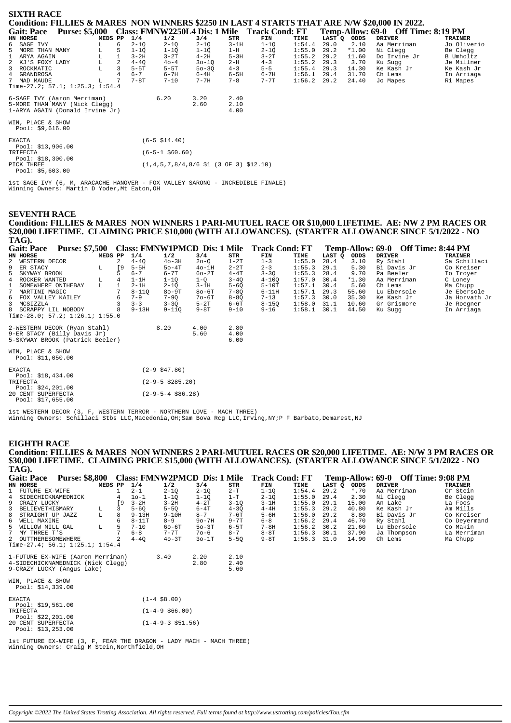| <b>SIXTH RACE</b>                      |                       |         |   |          |                                                                                    |           |         |                                              |        |        |         |                                                                                               |                |
|----------------------------------------|-----------------------|---------|---|----------|------------------------------------------------------------------------------------|-----------|---------|----------------------------------------------|--------|--------|---------|-----------------------------------------------------------------------------------------------|----------------|
|                                        |                       |         |   |          |                                                                                    |           |         |                                              |        |        |         | Condition: FILLIES & MARES NON WINNERS \$2250 IN LAST 4 STARTS THAT ARE N/W \$20,000 IN 2022. |                |
| <b>Gait: Pace</b>                      | <b>Purse: \$5,000</b> |         |   |          |                                                                                    |           |         | Class: FMNW2250L4 Dis: 1 Mile Track Cond: FT |        |        |         | Temp-Allow: 69-0 Off Time: 8:19 PM                                                            |                |
| HN HORSE                               |                       | MEDS PP |   | 1/4      | 1/2                                                                                | 3/4       | STR     | FIN                                          | TIME   | LAST Q | ODDS    | <b>DRIVER</b>                                                                                 | <b>TRAINER</b> |
| 6 SAGE IVY                             |                       |         | 6 | $2 - 1Q$ | $2 - 1Q$                                                                           | $2 - 1Q$  | $3-1H$  | $1-1Q$                                       | 1:54.4 | 29.0   | 2.10    | Aa Merriman                                                                                   | Jo Oliverio    |
| 5<br>MORE THAN MANY                    |                       |         | 5 | $1 - 10$ | $1 - 10$                                                                           | $1 - 10$  | $1-H$   | $2-1Q$                                       | 1:55.0 | 29.2   | $*1.00$ | Ni Clegg                                                                                      | Be Clegg       |
| $\mathbf{1}$<br>ARYA AGAIN             |                       |         |   | $3-2H$   | $3 - 2T$                                                                           | $4-2H$    | $5-3H$  | $3-2T$                                       | 1:55.2 | 29.2   | 11.60   | Do Irvine Jr                                                                                  | B Umholtz      |
| 2 KJ'S FOXY LADY                       |                       | L       | 2 | $4 - 40$ | $40 - 4$                                                                           | $30 - 10$ | $2-H$   | $4 - 3$                                      | 1:55.2 | 29.3   | 3.70    | Ku Sugg                                                                                       | Je Millner     |
| 3 ROCKMATIC                            |                       |         |   | $5-5T$   | $5-5T$                                                                             | $50 - 30$ | $4 - 3$ | $5 - 5$                                      | 1:55.4 | 29.3   | 14.30   | Ke Kash Jr                                                                                    | Ke Kash Jr     |
| 4 GRANDROSA                            |                       |         | 4 | $6 - 7$  | $6 - 7H$                                                                           | $6-4H$    | $6-5H$  | $6 - 7H$                                     | 1:56.1 | 29.4   | 31.70   | Ch Lems                                                                                       | In Arriaga     |
| 7 MAD MAUDE                            |                       | L       |   | $7 - 8T$ | $7 - 10$                                                                           | $7 - 7H$  | $7 - 8$ | $7 - 7T$                                     | 1:56.2 | 29.2   | 24.40   | Jo Mapes                                                                                      | Ri Mapes       |
| Time-27.2; 57.1; 1:25.3; 1:54.4        |                       |         |   |          |                                                                                    |           |         |                                              |        |        |         |                                                                                               |                |
| 6-SAGE IVY (Aaron Merriman)            |                       |         |   |          | 6.20                                                                               | 3.20      | 2.40    |                                              |        |        |         |                                                                                               |                |
| 5-MORE THAN MANY (Nick Clegg)          |                       |         |   |          |                                                                                    | 2.60      | 2.10    |                                              |        |        |         |                                                                                               |                |
| 1-ARYA AGAIN (Donald Irvine Jr)        |                       |         |   |          |                                                                                    |           | 4.00    |                                              |        |        |         |                                                                                               |                |
|                                        |                       |         |   |          |                                                                                    |           |         |                                              |        |        |         |                                                                                               |                |
| WIN, PLACE & SHOW<br>Pool: $$9,616.00$ |                       |         |   |          |                                                                                    |           |         |                                              |        |        |         |                                                                                               |                |
|                                        |                       |         |   |          |                                                                                    |           |         |                                              |        |        |         |                                                                                               |                |
| <b>EXACTA</b>                          |                       |         |   |          | $(6-5 \; $14.40)$                                                                  |           |         |                                              |        |        |         |                                                                                               |                |
| Pool: $$13,906.00$                     |                       |         |   |          |                                                                                    |           |         |                                              |        |        |         |                                                                                               |                |
| TRIFECTA                               |                       |         |   |          | $(6-5-1$ \$60.60)                                                                  |           |         |                                              |        |        |         |                                                                                               |                |
| Pool: \$18,300.00                      |                       |         |   |          |                                                                                    |           |         |                                              |        |        |         |                                                                                               |                |
| PICK THREE                             |                       |         |   |          | $(1,4,5,7,8/4,8/6 \text{ } 1 \text{ } (3 \text{ } 0F \text{ } 3) \text{ } $12,10)$ |           |         |                                              |        |        |         |                                                                                               |                |
| Pool: $$5,603.00$                      |                       |         |   |          |                                                                                    |           |         |                                              |        |        |         |                                                                                               |                |

1st SAGE IVY (6, M, ARACACHE HANOVER - FOX VALLEY SARONG - INCREDIBLE FINALE) Winning Owners: Martin D Yoder,Mt Eaton,OH

#### **SEVENTH RACE**

**Condition: FILLIES & MARES NON WINNERS 1 PARI-MUTUEL RACE OR \$10,000 LIFETIME. AE: NW 2 PM RACES OR \$20,000 LIFETIME. CLAIMING PRICE \$10,000 (WITH ALLOWANCES). (STARTER ALLOWANCE SINCE 5/1/2022 - NO TAG).**

| -----                             |                       |         |           |           |                         |          |          |                                             |        |        |         |                                    |               |
|-----------------------------------|-----------------------|---------|-----------|-----------|-------------------------|----------|----------|---------------------------------------------|--------|--------|---------|------------------------------------|---------------|
| <b>Gait: Pace</b>                 | <b>Purse: \$7,500</b> |         |           |           |                         |          |          | Class: FMNW1PMCD Dis: 1 Mile Track Cond: FT |        |        |         | Temp-Allow: 69-0 Off Time: 8:44 PM |               |
| HN HORSE                          |                       | MEDS PP |           | 1/4       | 1/2                     | 3/4      | STR      | FIN                                         | TIME   | LAST Q | ODDS    | <b>DRIVER</b>                      | TRAINER       |
| 2<br>WESTERN DECOR                |                       |         | 2         | $4 - 40$  | $40 - 3H$               | $20 - 0$ | $1-2T$   | $1 - 3$                                     | 1:55.0 | 28.4   | 3.10    | Ry Stahl                           | Sa Schillaci  |
| 9<br>ER STACY                     |                       | L       | <b>19</b> | $5-5H$    | $50-4T$                 | $40-1H$  | $2 - 2T$ | $2 - 3$                                     | 1:55.3 | 29.1   | 5.30    | Bi Davis Jr                        | Co Kreiser    |
| 5<br>SKYWAY BROOK                 |                       |         |           | $6 - 7$   | $6 - 7T$                | $60-2T$  | $4 - 4T$ | $3 - 3Q$                                    | 1:55.3 | 28.4   | 9.70    | Pa Beeler                          | To Troyer     |
| 4 ROCKER WANTED                   |                       | L       | 4         | $1-1H$    | $1 - 1Q$                | $1-Q$    | $3 - 4Q$ | $4 - 100$                                   | 1:57.0 | 30.4   | $*1.30$ | Aa Merriman                        | C Loney       |
| 1<br>SOMEWHERE ONTHEBAY           |                       | T.      |           | $2-1H$    | $2 - 10$                | $3-1H$   | $5 - 6Q$ | $5-10T$                                     | 1:57.1 | 30.4   | 5.60    | Ch Lems                            | Ma Chupp      |
| $7^{\circ}$<br>MARTINI MAGIC      |                       |         |           | $8 - 110$ | $80 - 9T$               | $80-6T$  | $7 - 8Q$ | $6 - 11H$                                   | 1:57.1 | 29.3   | 55.60   | Lu Ebersole                        | Je Ebersole   |
| 6 FOX VALLEY KAILEY               |                       |         |           | $7 - 9$   | $7 - 9Q$                | $7o-6T$  | $8 - 8Q$ | $7 - 13$                                    | 1:57.3 | 30.0   | 35.30   | Ke Kash Jr                         | Ja Horvath Jr |
| 3 MCSIZZLA                        |                       |         |           | $3 - 3$   | $3 - 30$                | $5-2T$   | $6-6T$   | $8 - 150$                                   | 1:58.0 | 31.1   | 10.60   | Gr Grismore                        | Je Roegner    |
| 8 SCRAPPY LIL NOBODY              |                       |         | 8         | $9 - 13H$ | $9 - 110$               | $9-8T$   | $9 - 10$ | $9 - 16$                                    | 1:58.1 | 30.1   | 44.50   | Ku Sugg                            | In Arriaga    |
| Time-28.0; 57.2; $1:26.1; 1:55.0$ |                       |         |           |           |                         |          |          |                                             |        |        |         |                                    |               |
| 2-WESTERN DECOR (Ryan Stahl)      |                       |         |           |           | 8.20                    | 4.00     | 2.80     |                                             |        |        |         |                                    |               |
| 9-ER STACY (Billy Davis Jr)       |                       |         |           |           |                         | 5.60     | 4.00     |                                             |        |        |         |                                    |               |
| 5-SKYWAY BROOK (Patrick Beeler)   |                       |         |           |           |                         |          | 6.00     |                                             |        |        |         |                                    |               |
| WIN, PLACE & SHOW                 |                       |         |           |           |                         |          |          |                                             |        |        |         |                                    |               |
| Pool: $$11,050.00$                |                       |         |           |           |                         |          |          |                                             |        |        |         |                                    |               |
| <b>EXACTA</b>                     |                       |         |           |           | $(2-9$ \$47.80)         |          |          |                                             |        |        |         |                                    |               |
| Pool: $$18,434.00$                |                       |         |           |           |                         |          |          |                                             |        |        |         |                                    |               |
| TRIFECTA                          |                       |         |           |           | $(2 - 9 - 5 \ $285.20)$ |          |          |                                             |        |        |         |                                    |               |
| Pool: $$24,201.00$                |                       |         |           |           |                         |          |          |                                             |        |        |         |                                    |               |
| 20 CENT SUPERFECTA                |                       |         |           |           | $(2-9-5-4$ \$86.28)     |          |          |                                             |        |        |         |                                    |               |
| Pool: \$17,655.00                 |                       |         |           |           |                         |          |          |                                             |        |        |         |                                    |               |

1st WESTERN DECOR (3, F, WESTERN TERROR - NORTHERN LOVE - MACH THREE) Winning Owners: Schillaci Stbs LLC,Macedonia,OH;Sam Bova Rcg LLC,Irving,NY;P F Barbato,Demarest,NJ

#### **EIGHTH RACE**

**Condition: FILLIES & MARES NON WINNERS 2 PARI-MUTUEL RACES OR \$20,000 LIFETIME. AE: N/W 3 PM RACES OR \$30,000 LIFETIME. CLAIMING PRICE \$15,000 (WITH ALLOWANCES). (STARTER ALLOWANCE SINCE 5/1/2022 - NO TAG).**

| <b>Gait: Pace</b> |                                         | <b>Purse: \$8,800</b> |         |           |           | Class: FMNW2PMCD Dis: 1 Mile |          |          | <b>Track Cond: FT</b> |        |        | Temp-Allow: 69-0 | <b>Off Time: 9:08 PM</b> |                |
|-------------------|-----------------------------------------|-----------------------|---------|-----------|-----------|------------------------------|----------|----------|-----------------------|--------|--------|------------------|--------------------------|----------------|
| HN HORSE          |                                         |                       | MEDS PP |           | 1/4       | 1/2                          | 3/4      | STR      | FIN                   | TIME   | LAST O | ODDS             | <b>DRIVER</b>            | <b>TRAINER</b> |
|                   | 1 FUTURE EX-WIFE                        |                       |         |           | $2 - 1$   | $2 - 10$                     | $2 - 10$ | $2-T$    | $1 - 10$              | 1:54.4 | 29.2   | $*$ .70          | Aa Merriman              | Cr Stein       |
| 4                 | SIDECHICKNAMEDNICK                      |                       |         |           | $10 - 1$  | $1 - 10$                     | $1 - 10$ | $1-T$    | $2 - 10$              | 1:55.0 | 29.4   | 2.30             | Ni Clegg                 | Be Clegg       |
| 9                 | CRAZY LUCKY                             |                       |         | <b>19</b> | $3-2H$    | $3-2H$                       | $4-2T$   | $3 - 10$ | $3-1H$                | 1:55.0 | 29.1   | 15.00            | An Lake                  | La Foos        |
| 3                 | BELIEVETHISMARY                         |                       | L       |           | $5 - 60$  | $5 - 50$                     | $6 - 4T$ | $4 - 30$ | $4-4H$                | 1:55.3 | 29.2   | 40.80            | Ke Kash Jr               | Am Mills       |
| 8                 | STRAIGHT UP JAZZ                        |                       | L       | 8         | $9 - 13H$ | $9 - 10H$                    | $8 - 7$  | 7-6T     | $5 - 6H$              | 1:56.0 | 29.2   | 8.80             | Bi Davis Jr              | Co Kreiser     |
| 6                 | WELL MAXINE                             |                       |         | 6         | $8 - 11T$ | $8 - 9$                      | $9o-7H$  | $9 - 7T$ | $6 - 8$               | 1:56.2 | 29.4   | 46.70            | Ry Stahl                 | Co Deyermand   |
|                   | 5 WILLOW MILL GAL                       |                       | L       | 5.        | $7 - 10$  | $60 - 6T$                    | $50-3T$  | 6-5T     | $7 - 8H$              | 1:56.2 | 30.2   | 21.60            | Lu Ebersole              | Co Makin       |
|                   | 7 MY THREE T'S                          |                       |         |           | $6 - 8$   | $7 - 7$ T                    | $70 - 6$ | $8 - 7$  | $8-8T$                | 1:56.3 | 30.1   | 37.90            | Ja Thompson              | La Merriman    |
|                   | 2 OUTTHERESOMEWHERE                     |                       |         |           | $4 - 40$  | $40-3T$                      | $30-1T$  | $5 - 50$ | $9-8T$                | 1:56.3 | 31.0   | 14.90            | Ch Lems                  | Ma Chupp       |
|                   | Time-27.4; 56.1; 1:25.1; 1:54.4         |                       |         |           |           |                              |          |          |                       |        |        |                  |                          |                |
|                   | 1-FUTURE EX-WIFE (Aaron Merriman)       |                       |         |           |           | 3.40                         | 2.20     | 2.10     |                       |        |        |                  |                          |                |
|                   | 4-SIDECHICKNAMEDNICK (Nick Clegg)       |                       |         |           |           |                              | 2.80     | 2.40     |                       |        |        |                  |                          |                |
|                   | 9-CRAZY LUCKY (Angus Lake)              |                       |         |           |           |                              |          | 5.60     |                       |        |        |                  |                          |                |
|                   | WIN, PLACE & SHOW<br>Pool: $$14,339.00$ |                       |         |           |           |                              |          |          |                       |        |        |                  |                          |                |
| <b>EXACTA</b>     | Pool: $$19,561.00$                      |                       |         |           |           | $(1-4 \ $8.00)$              |          |          |                       |        |        |                  |                          |                |
|                   |                                         |                       |         |           |           |                              |          |          |                       |        |        |                  |                          |                |

Pool: \$19,561.00 TRIFECTA (1-4-9 \$66.00) Pool: \$22,201.00 20 CENT SUPERFECTA (1-4-9-3 \$51.56) Pool: \$13,253.00

1st FUTURE EX-WIFE (3, F, FEAR THE DRAGON - LADY MACH - MACH THREE) Winning Owners: Craig M Stein,Northfield,OH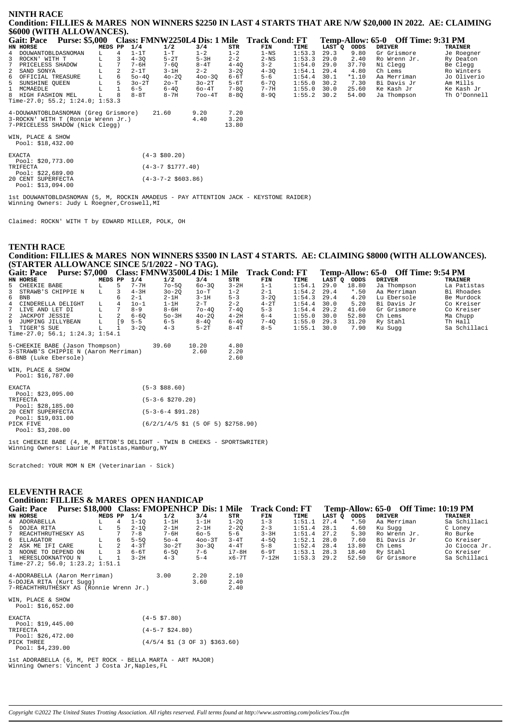#### **NINTH RACE Condition: FILLIES & MARES NON WINNERS \$2250 IN LAST 4 STARTS THAT ARE N/W \$20,000 IN 2022. AE: CLAIMING \$6000 (WITH ALLOWANCES).**

| <b>Gait: Pace</b>                      | <b>Purse: \$5,000</b> |         |    |           |           |            |          | Class: FMNW2250L4 Dis: 1 Mile Track Cond: FT |        |        |         | Temp-Allow: 65-0 Off Time: 9:31 PM |                |
|----------------------------------------|-----------------------|---------|----|-----------|-----------|------------|----------|----------------------------------------------|--------|--------|---------|------------------------------------|----------------|
| HN HORSE                               |                       | MEDS PP |    | 1/4       | 1/2       | 3/4        | STR      | FIN                                          | TIME   | LAST O | ODDS    | <b>DRIVER</b>                      | <b>TRAINER</b> |
| 4 DOUWANTOBLDASNOMAN                   |                       |         |    | 1-1T      | 1-T       | $1 - 2$    | $1 - 2$  | $1 - NS$                                     | 1:53.3 | 29.3   | 9.80    | Gr Grismore                        | Je Roegner     |
| 3 ROCKN' WITH T                        |                       | L.      |    | $4 - 30$  | $5-2T$    | $5-3H$     | $2 - 2$  | $2-NS$                                       | 1:53.3 | 29.0   | 2.40    | Ro Wrenn Jr.                       | Ry Deaton      |
| 7 PRICELESS SHADOW                     |                       |         |    | 7-6H      | $7 - 60$  | $8-4T$     | $4 - 40$ | $3 - 2$                                      | 1:54.0 | 29.0   | 37.70   | Ni Clegg                           | Be Clegg       |
| 2 SAND SONYA                           |                       | L       | 2  | $2-1T$    | $3-1H$    | $2 - 2$    | $3 - 20$ | $4 - 30$                                     | 1:54.1 | 29.4   | 4.80    | Ch Lems                            | Ro Winters     |
| 6 OFFICIAL TREASURE                    |                       |         | 6  | $50 - 40$ | $40 - 20$ | $400 - 30$ | 6-6T     | $5 - 6$                                      | 1:54.4 | 30.1   | $*1.10$ | Aa Merriman                        | Jo Oliverio    |
| 5 SUNSHINE OUEEN                       |                       | L       | 5. | $30-2T$   | 20-T      | $30-2T$    | $5 - 6T$ | $6 - 70$                                     | 1:55.0 | 30.2   | 7.30    | Bi Davis Jr                        | Am Mills       |
| 1 MCMAEDLE                             |                       |         |    | $6 - 5$   | $6 - 40$  | $60-4T$    | $7 - 80$ | $7 - 7H$                                     | 1:55.0 | 30.0   | 25.60   | Ke Kash Jr                         | Ke Kash Jr     |
| 8 HIGH FASHION MEL                     |                       |         | 8  | $8-8T$    | $8-7H$    | 700-4T     | $8 - 80$ | $8 - 90$                                     | 1:55.2 | 30.2   | 54.00   | Ja Thompson                        | Th O'Donnell   |
| Time-27.0; 55.2; 1:24.0; 1:53.3        |                       |         |    |           |           |            |          |                                              |        |        |         |                                    |                |
| 4-DOUWANTOBLDASNOMAN (Greq Grismore)   |                       |         |    |           | 21.60     | 9.20       | 7.20     |                                              |        |        |         |                                    |                |
| 3-ROCKN' WITH T (Ronnie Wrenn Jr.)     |                       |         |    |           |           | 4.40       | 3.20     |                                              |        |        |         |                                    |                |
| 7-PRICELESS SHADOW (Nick Clegg)        |                       |         |    |           |           |            | 13.80    |                                              |        |        |         |                                    |                |
| WIN, PLACE & SHOW<br>Pool: \$18,432.00 |                       |         |    |           |           |            |          |                                              |        |        |         |                                    |                |

| <b>EXACTA</b>                 | $(4-3$ \$80.20)            |
|-------------------------------|----------------------------|
| Pool: \$20,773.00<br>TRIFECTA | $(4-3-7 \text{ }51777.40)$ |
| Pool: $$22.689.00$            |                            |
| 20 CENT SUPERFECTA            | $(4-3-7-2 \ $603.86)$      |
| Pool: $$13,094.00$            |                            |

1st DOUWANTOBLDASNOMAN (5, M, ROCKIN AMADEUS - PAY ATTENTION JACK - KEYSTONE RAIDER) Winning Owners: Judy L Roegner, Croswell, MI

Claimed: ROCKN' WITH T by EDWARD MILLER, POLK, OH

### **TENTH RACE Condition: FILLIES & MARES NON WINNERS \$3500 IN LAST 4 STARTS. AE: CLAIMING \$8000 (WITH ALLOWANCES). (STARTER ALLOWANCE SINCE 5/1/2022 - NO TAG).**

| <b>Gait: Pace</b>                     | <b>Purse: \$7,000</b> |         |    |          | Class: FMNW3500L4 Dis: 1 Mile |           |          | <b>Track Cond: FT</b> |        |        | Temp-Allow: 65-0 | <b>Off Time: 9:54 PM</b> |                |
|---------------------------------------|-----------------------|---------|----|----------|-------------------------------|-----------|----------|-----------------------|--------|--------|------------------|--------------------------|----------------|
| HN HORSE                              |                       | MEDS PP |    | 1/4      | 1/2                           | 3/4       | STR      | FIN                   | TIME   | LAST O | ODDS             | DRIVER                   | <b>TRAINER</b> |
| 5 CHEEKIE BABE                        |                       |         |    | $7 - 7H$ | $70 - 50$                     | $60 - 30$ | $3-2H$   | $1 - 1$               | 1:54.1 | 29.0   | 18.80            | Ja Thompson              | La Patistas    |
| 3 STRAWB'S CHIPPIE N                  |                       | L.      |    | $4-3H$   | $30 - 20$                     | $1o-T$    | $1 - 2$  | $2 - 1$               | 1:54.2 | 29.4   | $*$ .50          | Aa Merriman              | Bi Rhoades     |
| 6 BNB                                 |                       |         | 6  | $2 - 1$  | $2-1H$                        | $3-1H$    | $5 - 3$  | $3 - 20$              | 1:54.3 | 29.4   | 4.20             | Lu Ebersole              | Be Murdock     |
| 4 CINDERELLA DELIGHT                  |                       | L       |    | $10 - 1$ | $1-1H$                        | $2-T$     | $2 - 2$  | $4-2T$                | 1:54.4 | 30.0   | 5.20             | Bi Davis Jr              | Co Kreiser     |
| 7 LIVE AND LET DI                     |                       | L.      |    | $8 - 9$  | $8 - 6H$                      | $70 - 40$ | $7 - 40$ | $5 - 3$               | 1:54.4 | 29.2   | 41.60            | Gr Grismore              | Co Kreiser     |
| 2 JACKPOT JESSIE                      |                       | L       | 2  | $6 - 60$ | $50-3H$                       | $40 - 20$ | $4 - 2H$ | $6 - 4$               | 1:55.0 | 30.0   | 52.80            | Ch Lems                  | Ma Chupp       |
| 9 JUMPING JILLYBEAN                   |                       | L       | ſ9 | $5 - 5$  | $6 - 5$                       | $8 - 40$  | $6 - 40$ | $7 - 40$              | 1:55.0 | 29.3   | 31.20            | Ry Stahl                 | Th Hall        |
| 1 TIGER'S SUE                         |                       | L.      |    | $3 - 20$ | $4 - 3$                       | $5-2T$    | $8 - 4T$ | $8 - 5$               | 1:55.1 | 30.0   | 7.90             | Ku Suqq                  | Sa Schillaci   |
| Time-27.0; 56.1; 1:24.3; 1:54.1       |                       |         |    |          |                               |           |          |                       |        |        |                  |                          |                |
| 5-CHEEKIE BABE (Jason Thompson)       |                       |         |    |          | 39.60                         | 10.20     | 4.80     |                       |        |        |                  |                          |                |
| 3-STRAWB'S CHIPPIE N (Aaron Merriman) |                       |         |    |          |                               | 2.60      | 2.20     |                       |        |        |                  |                          |                |
| 6-BNB (Luke Ebersole)                 |                       |         |    |          |                               |           | 2.60     |                       |        |        |                  |                          |                |

WIN, PLACE & SHOW Pool: \$16,787.00

| <b>EXACTA</b>                           | $(5-3$ \$88.60)                                                                 |
|-----------------------------------------|---------------------------------------------------------------------------------|
| Pool: $$23,095.00$<br>TRIFECTA          | $(5-3-6 \ $270.20)$                                                             |
| Pool: \$28,185.00                       |                                                                                 |
| 20 CENT SUPERFECTA<br>Pool: \$19,031.00 | $(5-3-6-4 \text{ }591.28)$                                                      |
| PICK FIVE                               | $(6/2/1/4/5 \text{ } 51 \text{ } (5 \text{ } 0F \text{ } 5) \text{ } $2758.90)$ |
| Pool: \$3,208.00                        |                                                                                 |
|                                         |                                                                                 |

1st CHEEKIE BABE (4, M, BETTOR'S DELIGHT - TWIN B CHEEKS - SPORTSWRITER) Winning Owners: Laurie M Patistas,Hamburg,NY

Scratched: YOUR MOM N EM (Veterinarian - Sick)

## **ELEVENTH RACE Condition: FILLIES & MARES OPEN HANDICAP** Gait: Pace Purse: \$18,000 Class: FMOPENHCP Dis: 1 Mile Track Cond: FT Temp-Allow: 65-0 Off Time: 10:19 PM<br>EN EQUEST PRAINER TRAINER TRAINER TRAINER **HN HORSE MEDS PP 1/4 1/2 3/4 STR FIN TIME LAST Q ODDS DRIVER TRAINER** 4 ADORABELLA L 4 1-1Q 1-1H 1-1H 1-2Q 1-3 1:51.1 27.4 \*.50 Aa Merriman Sa Schillaci 5 DOJEA RITA L 5 2-1Q 2-1H 2-1H 2-2Q 2-3 1:51.4 28.1 4.60 Ku Sugg C Loney 4 ADORABELLA L. 4 1-10 1-1H 1-1H 1-2Q 1-3 1:51.1 27.4 \*.50 AaMerriman Sa Schillaci<br>
5 DOJEARITA L. 5 2-1Q 2-1H 2-1H 2-2Q 2-3 1:51.4 28.1 4.60 Ku Sugg Cloney<br>
7 REACHTHRUTHESKY AS 7 7-8 7-6H 6o-5 5-6 3-3H 1:51.4 27.2 5.30 R 6 ELLAGATOR L 6 5-5Q 5o-4 4oo-3T 3-4T 4-5Q 1:52.1 28.0 7.60 Bi Davis Jr Co Kreiser 2 ASK ME IFI CARE L 2 4-3T 3o-2T 3o-3Q 4-4T 5-8 1:52.4 28.4 13.80 Ch Lems Jo Ciocca Jr. 3 NOONE TO DEPEND ON L 3 6-6T 6-5Q 7-6 i7-8H 6-9T 1:53.1 28.3 18.40 Ry Stahl Co Kreiser 1 HERESLOOKNATYOU N L 1 3-2H 4-3 5-4 x6-7T 7-12H 1:53.3 29.2 52.50 Gr Grismore Sa Schillaci Time-27.2; 56.0; 1:23.2; 1:51.1 4-ADORABELLA (Aaron Merriman) 3.00 2.20 2.10 5-DOJEA RITA (Kurt Sugg) 3.60 2.40 7-REACHTHRUTHESKY AS (Ronnie Wrenn Jr.) 2.40 WIN, PLACE & SHOW Pool: \$16,652.00 EXACTA (4-5 \$7.80) Pool: \$19,445.00 TRIFECTA (4-5-7 \$24.80) Pool: \$26,472.00 PICK THREE (4/5/4 \$1 (3 OF 3) \$363.60) Pool: \$4,239.00

1st ADORABELLA (6, M, PET ROCK - BELLA MARTA - ART MAJOR) Winning Owners: Vincent J Costa Jr,Naples,FL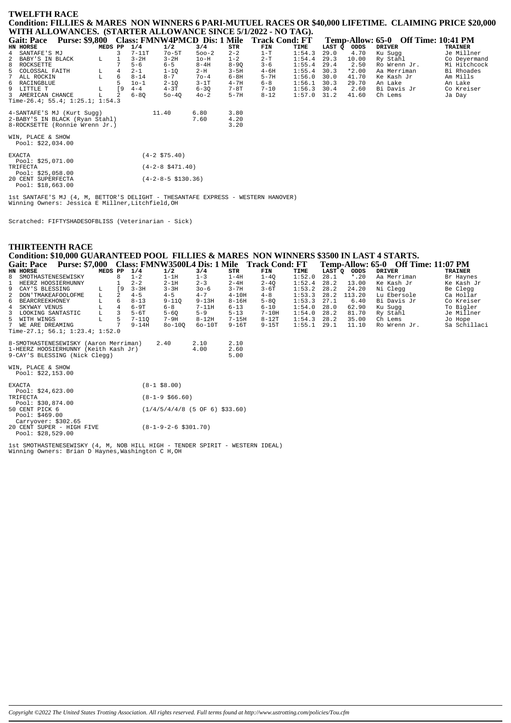| <b>TWELFTH RACE</b>                                                                                       |  |
|-----------------------------------------------------------------------------------------------------------|--|
| Condition: FILLIES & MARES NON WINNERS 6 PARI-MUTUEL RACES OR \$40,000 LIFETIME.  CLAIMING PRICE \$20,000 |  |
| WITH ALLOWANCES. (STARTER ALLOWANCE SINCE 5/1/2022 - NO TAG).                                             |  |

| <b>Purse: \$9,800</b><br><b>Gait: Pace</b> |             |    |                    |                       | <b>Class: FMNW4PMCD Dis: 1 Mile</b> |          | <b>Track Cond: FT</b> |        |        |         | Temp-Allow: 65-0 Off Time: 10:41 PM |                |
|--------------------------------------------|-------------|----|--------------------|-----------------------|-------------------------------------|----------|-----------------------|--------|--------|---------|-------------------------------------|----------------|
| HN HORSE                                   | MEDS PP     |    | 1/4                | 1/2                   | 3/4                                 | STR      | FIN                   | TIME   | LAST Q | ODDS    | <b>DRIVER</b>                       | <b>TRAINER</b> |
| SANTAFE'S MJ<br>4                          |             | 3  | $7-11T$            | $7o-5T$               | $500-2$                             | $2 - 2$  | $1-T$                 | 1:54.3 | 29.0   | 4.70    | Ku Sugg                             | Je Millner     |
| 2<br>BABY'S IN BLACK                       | L           |    | $3-2H$             | $3 - 2H$              | $1o-H$                              | $1 - 2$  | $2-T$                 | 1:54.4 | 29.3   | 10.00   | Ry Stahl                            | Co Deyermand   |
| 8<br>ROCKSETTE                             |             |    | $5 - 6$            | $6 - 5$               | $8-4H$                              | $8 - 90$ | $3 - 6$               | 1:55.4 | 29.4   | 2.50    | Ro Wrenn Jr.                        | Mi Hitchcock   |
| COLOSSAL FAITH<br>5                        | L           | 4  | $2 - 1$            | $1 - 10$              | $2-H$                               | $3 - 5H$ | $4 - 6H$              | 1:55.4 | 30.3   | $*2.00$ | Aa Merriman                         | Bi Rhoades     |
| ALL ROCKIN                                 | $\mathbf L$ | 6  | $8 - 14$           | $8 - 7$               | $70 - 4$                            | $6 - 8H$ | $5 - 7H$              | 1:56.0 | 30.0   | 41.70   | Ke Kash Jr                          | Am Mills       |
| RACINGBLUE<br>6                            |             | 5  | $10-1$             | $2 - 1Q$              | $3-1T$                              | $4 - 7H$ | $6 - 8$               | 1:56.1 | 30.3   | 29.70   | An Lake                             | An Lake        |
| 9<br>LITTLE T                              | L           | [9 | $4 - 4$            | $4 - 3T$              | $6 - 3Q$                            | $7-8T$   | $7 - 10$              | 1:56.3 | 30.4   | 2.60    | Bi Davis Jr                         | Co Kreiser     |
| 3<br>AMERICAN CHANCE                       | г           | 2  | $6 - 80$           | $50 - 40$             | $40 - 2$                            | $5 - 7H$ | $8 - 12$              | 1:57.0 | 31.2   | 41.60   | Ch Lems                             | Ja Day         |
| Time-26.4; 55.4; 1:25.1; 1:54.3            |             |    |                    |                       |                                     |          |                       |        |        |         |                                     |                |
| 4-SANTAFE'S MJ (Kurt Sugg)                 |             |    |                    | 11.40                 | 6.80                                | 3.80     |                       |        |        |         |                                     |                |
| 2-BABY'S IN BLACK (Ryan Stahl)             |             |    |                    |                       | 7.60                                | 4.20     |                       |        |        |         |                                     |                |
| 8-ROCKSETTE (Ronnie Wrenn Jr.)             |             |    |                    |                       |                                     | 3.20     |                       |        |        |         |                                     |                |
| WIN, PLACE & SHOW<br>Pool: \$22,034.00     |             |    |                    |                       |                                     |          |                       |        |        |         |                                     |                |
| <b>EXACTA</b><br>Pool: $$25,071.00$        |             |    |                    | $(4-2 \; $75.40)$     |                                     |          |                       |        |        |         |                                     |                |
| TRIFECTA<br>Pool: $$25,058.00$             |             |    | $(4-2-8$ \$471.40) |                       |                                     |          |                       |        |        |         |                                     |                |
| 20 CENT SUPERFECTA<br>Pool: \$18,663.00    |             |    |                    | $(4-2-8-5 \ $130.36)$ |                                     |          |                       |        |        |         |                                     |                |

1st SANTAFE'S MJ (4, M, BETTOR'S DELIGHT - THESANTAFE EXPRESS - WESTERN HANOVER)<br>Winning Owners: Jessica E Millner,Litchfield,OH

Scratched: FIFTYSHADESOFBLISS (Veterinarian - Sick)

| <b>THIRTEENTH RACE</b>                                                                   |                                                    |                       |        |                 |                                     |                |  |
|------------------------------------------------------------------------------------------|----------------------------------------------------|-----------------------|--------|-----------------|-------------------------------------|----------------|--|
| Condition: \$10,000 GUARANTEED POOL FILLIES & MARES NON WINNERS \$3500 IN LAST 4 STARTS. |                                                    |                       |        |                 |                                     |                |  |
| Gait: Pace Purse: \$7,000 Class: FMNW3500L4 Dis: 1 Mile Track Cond: FT                   |                                                    |                       |        |                 | Temp-Allow: 65-0 Off Time: 11:07 PM |                |  |
| MEDS PP<br>1/4<br>HN HORSE                                                               | 1/2<br>3/4                                         | STR<br>FIN            | TIME   | LAST Q ODDS     | <b>DRIVER</b>                       | <b>TRAINER</b> |  |
| 8<br>$1 - 2$<br>8<br>SMOTHASTENESEWISKY                                                  | $1-1H$<br>$1 - 3$                                  | $1-4H$<br>$1 - 40$    | 1:52.0 | $*$ .20<br>28.1 | Aa Merriman                         | Br Haynes      |  |
| $2 - 2$<br>HEERZ HOOSIERHUNNY                                                            | $2-1H$<br>$2 - 3$                                  | $2 - 4H$<br>$2 - 4Q$  | 1:52.4 | 28.2<br>13.00   | Ke Kash Jr                          | Ke Kash Jr     |  |
| [9<br>9<br>CAY'S BLESSING<br>L.                                                          | $3 - 3H$<br>$3 - 3H$<br>$30 - 6$                   | $3 - 7H$<br>$3 - 6T$  | 1:53.2 | 28.2<br>24.20   | Ni Clegg                            | Be Clegg       |  |
| 2<br>$4 - 5$<br>2<br>DON'TMAKEAFOOLOFME<br>L                                             | $4 - 5$<br>$4 - 7$                                 | $4-10H$<br>$4 - 8$    | 1:53.3 | 113.20<br>28.2  | Lu Ebersole                         | Ca Hollar      |  |
| 6<br>BEARCREEKHONEY<br>6<br>L                                                            | $8 - 13$<br>$9 - 110$<br>$9 - 13H$                 | $8 - 16H$<br>$5 - 80$ | 1:53.3 | 6.40<br>27.1    | Bi Davis Jr                         | Co Kreiser     |  |
| $\overline{4}$<br>4<br>SKYWAY VENUS<br>L                                                 | $6-9T$<br>$7-11H$<br>$6 - 8$                       | $6 - 10$<br>$6 - 13$  | 1:54.0 | 28.0<br>62.90   | Ku Sugg                             | To Bigler      |  |
| 3<br>3<br>LOOKING SANTASTIC<br>L.                                                        | $5-6T$<br>$5 - 6Q$<br>$5 - 9$                      | $5 - 13$<br>$7-10H$   | 1:54.0 | 28.2<br>81.70   | Ry Stahl                            | Je Millner     |  |
| 5<br>L<br>5<br>WITH WINGS                                                                | $7-9H$<br>$8-12H$<br>$7 - 110$                     | $7 - 15H$<br>$8-12T$  | 1:54.3 | 28.2<br>35.00   | Ch Lems                             | Jo Hope        |  |
| WE ARE DREAMING                                                                          | $80 - 100$<br>$9 - 14H$<br>$60-10T$                | $9 - 16T$<br>$9-15T$  | 1:55.1 | 11.10<br>29.1   | Ro Wrenn Jr.                        | Sa Schillaci   |  |
| Time-27.1; 56.1; 1:23.4; 1:52.0                                                          |                                                    |                       |        |                 |                                     |                |  |
| 8-SMOTHASTENESEWISKY (Aaron Merriman)                                                    | 2.40<br>2.10                                       | 2.10                  |        |                 |                                     |                |  |
| 1-HEERZ HOOSIERHUNNY (Keith Kash Jr)                                                     | 4.00                                               | 2.60                  |        |                 |                                     |                |  |
| 9-CAY'S BLESSING (Nick Clegg)                                                            |                                                    | 5.00                  |        |                 |                                     |                |  |
|                                                                                          |                                                    |                       |        |                 |                                     |                |  |
| WIN, PLACE & SHOW                                                                        |                                                    |                       |        |                 |                                     |                |  |
| Pool: $$22,153.00$                                                                       |                                                    |                       |        |                 |                                     |                |  |
|                                                                                          |                                                    |                       |        |                 |                                     |                |  |
| <b>EXACTA</b>                                                                            | $(8-1$ \$8.00)                                     |                       |        |                 |                                     |                |  |
| Pool: $$24,623.00$                                                                       |                                                    |                       |        |                 |                                     |                |  |
| TRIFECTA                                                                                 | $(8-1-9 \ $66.60)$                                 |                       |        |                 |                                     |                |  |
| Pool: \$30,874.00                                                                        |                                                    |                       |        |                 |                                     |                |  |
|                                                                                          | 50 CENT PICK 6<br>$(1/4/5/4/4/8$ (5 OF 6) \$33.60) |                       |        |                 |                                     |                |  |
| Pool: \$469.00                                                                           |                                                    |                       |        |                 |                                     |                |  |
| Carryover: \$302.65                                                                      |                                                    |                       |        |                 |                                     |                |  |
| 20 CENT SUPER - HIGH FIVE                                                                | $(8-1-9-2-6 \ $301.70)$                            |                       |        |                 |                                     |                |  |
| Pool: $$28,529.00$                                                                       |                                                    |                       |        |                 |                                     |                |  |

1st SMOTHASTENESEWISKY (4, M, NOB HILL HIGH - TENDER SPIRIT - WESTERN IDEAL)<br>Winning Owners: Brian D Haynes, Washington C H, OH